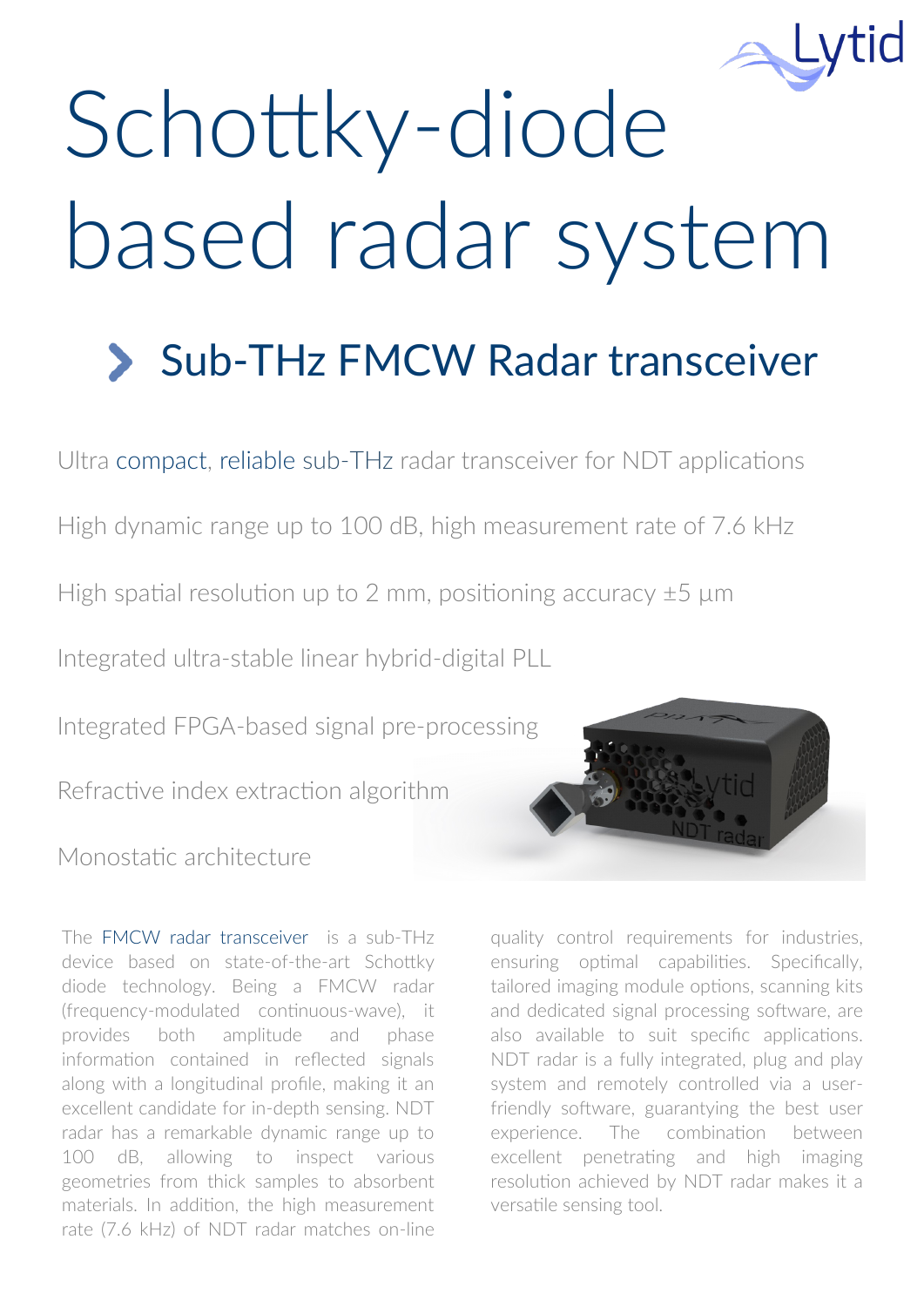

# Schottky-diode based radar system

# Sub-THz FMCW Radar transceiver

Ultra compact, reliable sub-THz radar transceiver for NDT applications

High dynamic range up to 100 dB, high measurement rate of 7.6 kHz

High spatial resolution up to 2 mm, positioning accuracy  $\pm 5$  µm

Integrated ultra-stable linear hybrid-digital PLL

Integrated FPGA-based signal pre-processing

Refractive index extraction algorithm

Monostatic architecture

The FMCW radar transceiver is a sub-THz device based on state-of-the-art Schottky diode technology. Being a FMCW radar (frequency-modulated continuous-wave), it provides both amplitude and phase information contained in reflected signals along with a longitudinal profile, making it an excellent candidate for in-depth sensing. NDT radar has a remarkable dynamic range up to 100 dB, allowing to inspect various geometries from thick samples to absorbent materials. In addition, the high measurement rate (7.6 kHz) of NDT radar matches on-line

quality control requirements for industries, ensuring optimal capabilities. Specifically, tailored imaging module options, scanning kits and dedicated signal processing software, are also available to suit specific applications. NDT radar is a fully integrated, plug and play system and remotely controlled via a userfriendly software, guarantying the best user experience. The combination between excellent penetrating and high imaging resolution achieved by NDT radar makes it a versatile sensing tool.